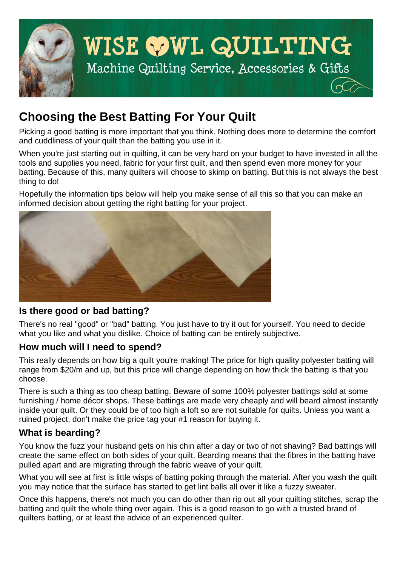

# **Choosing the Best Batting For Your Quilt**

Picking a good batting is more important that you think. Nothing does more to determine the comfort and cuddliness of your quilt than the batting you use in it.

When you're just starting out in quilting, it can be very hard on your budget to have invested in all the tools and supplies you need, fabric for your first quilt, and then spend even more money for your batting. Because of this, many quilters will choose to skimp on batting. But this is not always the best thing to do!

Hopefully the information tips below will help you make sense of all this so that you can make an informed decision about getting the right batting for your project.



## **Is there good or bad batting?**

There's no real "good" or "bad" batting. You just have to try it out for yourself. You need to decide what you like and what you dislike. Choice of batting can be entirely subjective.

## **How much will I need to spend?**

This really depends on how big a quilt you're making! The price for high quality polyester batting will range from \$20/m and up, but this price will change depending on how thick the batting is that you choose.

There is such a thing as too cheap batting. Beware of some 100% polyester battings sold at some furnishing / home décor shops. These battings are made very cheaply and will beard almost instantly inside your quilt. Or they could be of too high a loft so are not suitable for quilts. Unless you want a ruined project, don't make the price tag your #1 reason for buying it.

## **What is bearding?**

You know the fuzz your husband gets on his chin after a day or two of not shaving? Bad battings will create the same effect on both sides of your quilt. Bearding means that the fibres in the batting have pulled apart and are migrating through the fabric weave of your quilt.

What you will see at first is little wisps of batting poking through the material. After you wash the quilt you may notice that the surface has started to get lint balls all over it like a fuzzy sweater.

Once this happens, there's not much you can do other than rip out all your quilting stitches, scrap the batting and quilt the whole thing over again. This is a good reason to go with a trusted brand of quilters batting, or at least the advice of an experienced quilter.